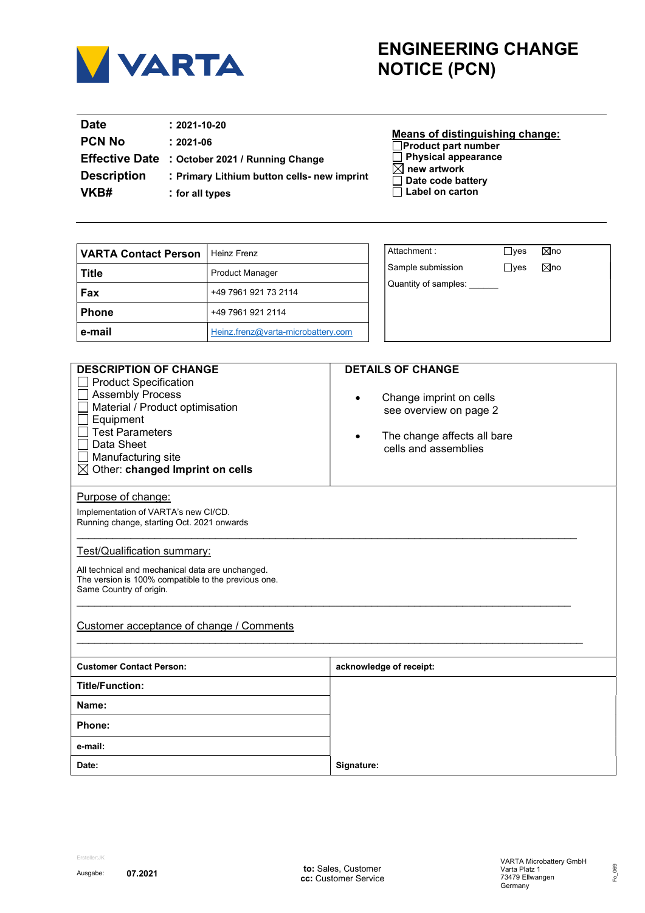

## ENGINEERING CHANGE NOTICE (PCN)

| <b>Date</b><br><b>PCN No</b><br><b>Description</b><br>VKB# | $: 2021 - 10 - 20$<br>$: 2021 - 06$<br>Effective Date : October 2021 / Running Change<br>: Primary Lithium button cells- new imprint<br>: for all types | Means of distinguishing change:<br>$\Box$ Product part number<br>$\Box$ Physical appearance<br>$\boxtimes$ new artwork<br>$\Box$ Date code battery<br>$\Box$ Label on carton |
|------------------------------------------------------------|---------------------------------------------------------------------------------------------------------------------------------------------------------|------------------------------------------------------------------------------------------------------------------------------------------------------------------------------|
|------------------------------------------------------------|---------------------------------------------------------------------------------------------------------------------------------------------------------|------------------------------------------------------------------------------------------------------------------------------------------------------------------------------|

| VARTA Contact Person | Heinz Frenz                        |
|----------------------|------------------------------------|
| <b>Title</b>         | <b>Product Manager</b>             |
| Fax                  | +49 7961 921 73 2114               |
| <b>Phone</b>         | +49 7961 921 2114                  |
| e-mail               | Heinz.frenz@varta-microbattery.com |

|  | Attachment:          | $\sqcup$ yes | ⊠no            |  |
|--|----------------------|--------------|----------------|--|
|  | Sample submission    | $\Box$ yes   | $\boxtimes$ no |  |
|  | Quantity of samples: |              |                |  |
|  |                      |              |                |  |
|  |                      |              |                |  |
|  |                      |              |                |  |

| <b>DESCRIPTION OF CHANGE</b>                                                                                                                                                                                         | <b>DETAILS OF CHANGE</b>                                                                                              |
|----------------------------------------------------------------------------------------------------------------------------------------------------------------------------------------------------------------------|-----------------------------------------------------------------------------------------------------------------------|
| <b>Product Specification</b><br><b>Assembly Process</b><br>Material / Product optimisation<br>Equipment<br><b>Test Parameters</b><br>Data Sheet<br>Manufacturing site<br>$\boxtimes$ Other: changed Imprint on cells | Change imprint on cells<br>$\bullet$<br>see overview on page 2<br>The change affects all bare<br>cells and assemblies |
| Purpose of change:                                                                                                                                                                                                   |                                                                                                                       |
| Implementation of VARTA's new CI/CD.                                                                                                                                                                                 |                                                                                                                       |
| Running change, starting Oct. 2021 onwards                                                                                                                                                                           |                                                                                                                       |
|                                                                                                                                                                                                                      |                                                                                                                       |
| Test/Qualification summary:                                                                                                                                                                                          |                                                                                                                       |
| All technical and mechanical data are unchanged.                                                                                                                                                                     |                                                                                                                       |
| The version is 100% compatible to the previous one.                                                                                                                                                                  |                                                                                                                       |
| Same Country of origin.                                                                                                                                                                                              |                                                                                                                       |
| Customer acceptance of change / Comments                                                                                                                                                                             |                                                                                                                       |
| <b>Customer Contact Person:</b>                                                                                                                                                                                      | acknowledge of receipt:                                                                                               |
| <b>Title/Function:</b>                                                                                                                                                                                               |                                                                                                                       |
| Name:                                                                                                                                                                                                                |                                                                                                                       |
| Phone:                                                                                                                                                                                                               |                                                                                                                       |
| e-mail:                                                                                                                                                                                                              |                                                                                                                       |
| Date:                                                                                                                                                                                                                | Signature:                                                                                                            |